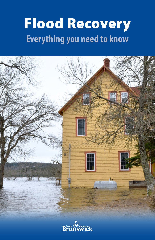# Flood Recovery **Everything you need to know**



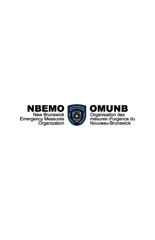



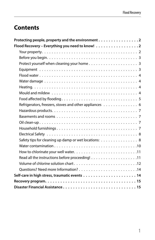# **Contents**

| Protecting people, property and the environment 2      |  |
|--------------------------------------------------------|--|
| Flood Recovery - Everything you need to know! 2        |  |
|                                                        |  |
|                                                        |  |
|                                                        |  |
|                                                        |  |
|                                                        |  |
|                                                        |  |
|                                                        |  |
|                                                        |  |
|                                                        |  |
| Refrigerators, freezers, stoves and other appliances 6 |  |
|                                                        |  |
|                                                        |  |
|                                                        |  |
|                                                        |  |
|                                                        |  |
| Safety tips for cleaning up damp or wet locations: 8   |  |
|                                                        |  |
|                                                        |  |
|                                                        |  |
|                                                        |  |
|                                                        |  |
|                                                        |  |
|                                                        |  |
|                                                        |  |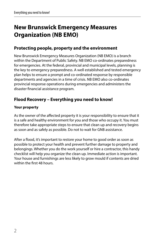# <span id="page-5-0"></span>**New Brunswick Emergency Measures Organization (NB EMO)**

# **Protecting people, property and the environment**

New Brunswick Emergency Measures Organization (NB EMO) is a branch within the Department of Public Safety. NB EMO co-ordinates preparedness for emergencies. At the federal, provincial and municipal levels, planning is the key to emergency preparedness. A well established and tested emergency plan helps to ensure a prompt and co-ordinated response by responsible departments and agencies in a time of crisis. NB EMO also co-ordinates provincial response operations during emergencies and administers the disaster financial assistance program.

# **Flood Recovery – Everything you need to know!**

## **Your property**

As the owner of the affected property it is your responsibility to ensure that it is a safe and healthy environment for you and those who occupy it. You must therefore take appropriate steps to ensure that clean up and recovery begins as soon and as safely as possible. Do not to wait for GNB assistance.

After a flood, it's important to restore your home to good order as soon as possible to protect your health and prevent further damage to property and belongings. Whether you do the work yourself or hire a contractor, this handy checklist will help you organize the clean up. Immediate action is important. Your house and furnishings are less likely to grow mould if contents are dried within the first 48 hours.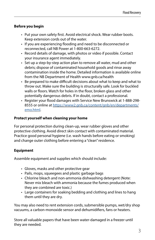# <span id="page-6-0"></span>**Before you begin**

- Put your own safety first. Avoid electrical shock. Wear rubber boots. Keep extension cords out of the water.
- If you are experiencing flooding and need to be disconnected or reconnected, call NB Power at 1-800-663-6272.
- Record details of damage, with photos or video if possible. Contact your insurance agent immediately.
- Set up a step-by-step action plan to remove all water, mud and other debris; dispose of contaminated household goods and rinse away contamination inside the home. Detailed information is available online from the NB Department of Health [www.gnb.ca/health](http://www.gnb.ca/health)
- Be prepared to make difficult decisions about what to keep and what to throw out. Make sure the building is structurally safe. Look for buckled walls or floors. Watch for holes in the floor, broken glass and other potentially dangerous debris. If in doubt, contact a professional.
- Register your flood damages with Service New Brunswick at 1-888-298- 8555 or online at [https://www2.gnb.ca/content/gnb/en/departments/](https://www2.gnb.ca/content/gnb/en/departments/emo.html) [emo.html](https://www2.gnb.ca/content/gnb/en/departments/emo.html).

## **Protect yourself when cleaning your home**

For personal protection during clean-up, wear rubber gloves and other protective clothing. Avoid direct skin contact with contaminated material. Practice good personal hygiene (i.e. wash hands before eating or smoking) and change outer clothing before entering a "clean" residence.

# **Equipment**

Assemble equipment and supplies which should include:

- Gloves, masks and other protective gear
- Pails, mops, squeegees and plastic garbage bags
- Chlorine bleach and non-ammonia dishwashing detergent (Note: Never mix bleach with ammonia because the fumes produced when they are combined are toxic.)
- Large containers for soaking bedding and clothing and lines to hang them until they are dry.

You may also need to rent extension cords, submersible pumps, wet/dry shop vacuums, a carbon-monoxide sensor and dehumidifiers, fans or heaters.

Store all valuable papers that have been water-damaged in a freezer until they are needed.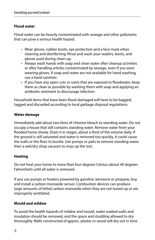# <span id="page-7-0"></span>**Flood water**

Flood water can be heavily contaminated with sewage and other pollutants that can pose a serious health hazard.

- Wear gloves, rubber boots, eye protection and a face mask when cleaning and disinfecting. Rinse and wash your waders, boots, and gloves used during clean-up.
- Always wash hands with soap and clean water after cleanup activities or after handling articles contaminated by sewage, even if you were wearing gloves. If soap and water are not available for hand washing, use a hand sanitizer.
- If you have any open cuts or sores that are exposed to floodwater, keep them as clean as possible by washing them with soap and applying an antibiotic ointment to discourage infection.

Household items that have been flood-damaged will have to be bagged, tagged and discarded according to local garbage disposal regulations.

## **Water damage**

Immediately add about two litres of chlorine bleach to standing water. Do not occupy a house that still contains standing water. Remove water from your flooded home slowly. Drain it in stages, about a third of the volume daily. If the ground is still saturated and water is removed too quickly, it could cause the walls or the floor to buckle. Use pumps or pails to remove standing water, then a wet/dry shop vacuum to mop up the rest.

# **Heating**

Do not heat your home to more than four degrees Celsius (about 40 degrees Fahrenheit) until all water is removed.

If you use pumps or heaters powered by gasoline, kerosene or propane, buy and install a carbon monoxide sensor. Combustion devices can produce large amounts of lethal carbon monoxide when they are not tuned-up or are improperly ventilated.

#### **Mould and mildew**

To avoid the health hazards of mildew and mould, water soaked walls and insulation should be removed, and the space and studding allowed to dry thoroughly. Walls constructed of gyproc, plaster or wood will dry out in time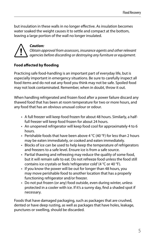<span id="page-8-0"></span>but insulation in these walls in no longer effective. As insulation becomes water soaked the weight causes it to settle and compact at the bottom, leaving a large portion of the wall no longer insulated.



# *Caution:*

*Obtain approval from assessors, insurance agents and other relevant agencies before discarding or destroying any furniture or equipment.*

# **Food affected by flooding**

Practicing safe food-handling is an important part of everyday life, but is especially important in emergency situations. Be sure to carefully inspect all food items and do not eat any food you think may not be safe. Spoiled food may not look contaminated. Remember, when in doubt, throw it out.

When handling refrigerated and frozen food after a power failure discard any thawed food that has been at room temperature for two or more hours, and any food that has an obvious unusual colour or odour.

- A full freezer will keep food frozen for about 48 hours. Similarly, a halffull freezer will keep food frozen for about 24 hours.
- An unopened refrigerator will keep food cool for approximately 4 to 6 hours.
- Perishable foods that have been above 4 °C (40 °F) for less than 2 hours may be eaten immediately, or cooked and eaten immediately.
- Blocks of ice can be used to help keep the temperature of refrigerators and freezers to a safe level. Ensure ice is from a safe source.
- Partial thawing and refreezing may reduce the quality of some food, but it will remain safe to eat. Do not refreeze food unless the food still contains ice crystals or feels 'refrigerator cold' (4 °C or 40 °F).
- If you know the power will be out for longer than 48 hours, you may move perishable food to another location that has a properly functioning refrigerator and/or freezer.
- Do not put frozen (or any) food outside, even during winter, unless protected in a cooler with ice. If it's a sunny day, find a shaded spot if necessary.

Foods that have damaged packaging, such as packages that are crushed, dented or have deep rusting, as well as packages that have holes, leakage, punctures or swelling, should be discarded.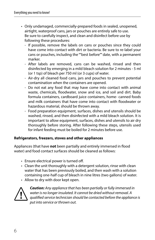- <span id="page-9-0"></span>• Only undamaged, commercially-prepared foods in sealed, unopened, airtight, waterproof cans, jars or pouches are entirely safe to use. Be sure to carefully inspect, and clean and disinfect before use by following these procedures:
	- If possible, remove the labels on cans or pouches since they could have come into contact with dirt or bacteria. Be sure to re-label your cans or pouches, including the ""best before"" date, with a permanent marker.
	- After labels are removed, cans can be washed, rinsed and then disinfected by emerging in a mild bleach solution for 2 minutes - 5 ml (or 1 tsp) of bleach per 750 ml (or 3 cups) of water.
	- Air-dry all cleaned food cans, jars and pouches to prevent potential contamination when the containers are opened.
	- Do not eat any food that may have come into contact with animal waste, chemicals, floodwater, snow and ice, and soil and dirt. Baby formula containers, cardboard juice containers, home- canned foods and milk containers that have come into contact with floodwater or hazardous material, should be thrown away.
	- Food preparation equipment, surfaces, dishes and utensils should be washed, rinsed, and then disinfected with a mild bleach solution. It is important to allow equipment, surfaces, dishes and utensils to air dry thoroughly before storing. After following these steps, utensils used for infant feeding must be boiled for 2 minutes before use.

#### **Refrigerators, freezers, stoves and other appliances**

Appliances (that have **not** been partially and entirely immersed in flood water) and food contact surfaces should be cleaned as follows:

- Ensure electrical power is turned off.
- Clean the unit thoroughly with a detergent solution, rinse with clean water that has been previously boiled, and then wash with a solution containing one-half cup of bleach in nine litres (two gallons) of water.
- Allow to dry with door kept open.



*Caution: Any appliance that has been partially or fully immersed in water is no longer insulated. It cannot be dried without removal. A qualified service technician should be contacted before the appliance is put into service or thrown out.*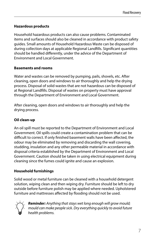# <span id="page-10-0"></span>**Hazardous products**

Household hazardous products can also cause problems. Contaminated items and surfaces should also be cleaned in accordance with product safety guides. Small amounts of Household Hazardous Waste can be disposed of during collection days at applicable Regional Landfills. Significant quantities should be handled differently, under the advice of the Department of Environment and Local Government.

# **Basements and rooms**

Water and wastes can be removed by pumping, pails, shovels, etc. After cleaning, open doors and windows to air thoroughly and help the drying process. Disposal of solid wastes that are not hazardous can be disposed of at Regional Landfills. Disposal of wastes on property must have approval through the Department of Environment and Local Government.

After cleaning, open doors and windows to air thoroughly and help the drying process.

# **Oil clean-up**

An oil spill must be reported to the Department of Environment and Local Government. Oil spills could create a contamination problem that can be difficult to correct. If only finished basement walls have been affected, the odour may be eliminated by removing and discarding the wall covering, studding, insulation and any other permeable material in accordance with disposal criteria established by the Department of Environment and Local Government. Caution should be taken in using electrical equipment during cleaning since the fumes could ignite and cause an explosion.

# **Household furnishings**

Solid wood or metal furniture can be cleaned with a household detergent solution, wiping clean and then wiping dry. Furniture should be left to dry outside before furniture polish may be applied where needed. Upholstered furniture and mattresses affected by flooding should not be used.



*Reminder: Anything that stays wet long enough will grow mould; mould can make people sick. Dry everything quickly to avoid future health problems.*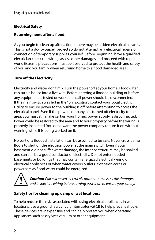# <span id="page-11-0"></span>**Electrical Safety**

## **Returning home after a flood:**

As you begin to clean up after a flood, there may be hidden electrical hazards. This is not a do-it-yourself project so do not attempt any electrical repairs or connection of temporary supplies yourself. Before beginning, have a qualified electrician check the wiring, assess other damages and proceed with repair work. Extreme precautions must be observed to protect the health and safety of you and you family when returning home to a flood damaged area.

## **Turn off the Electricity:**

Electricity and water don't mix. Turn the power off at your home! Floodwater can turn a house into a live wire. Before entering a flooded building or before any equipment is tested or worked on, all power should be disconnected. If the main switch was left in the "on" position, contact your Local Electric Utility to ensure power to the building is off before attempting to access the electrical panel. Even if the power company has turned off electricity to the area, you must still make certain your home's power supply is disconnected. Power could be restored to the area and to your property before the wiring is properly inspected. You don't want the power company to turn it on without warning while it is being worked on it.

No part of a flooded installation can be assumed to be safe. Never cross damp floors to shut off the electrical power at the main switch. Even if your basement did not suffer water damage, the interior structure may be soaked and can still be a good conductor of electricity. Do not enter flooded basements or buildings that may contain energized electrical wiring or electrical appliances or when water covers outlets, extension cords or powerbars as flood water could be energized.



*Caution: Call a licensed electrical contractor to assess the damages and inspect all wiring before turning power on to ensure your safety.*

#### **Safety tips for cleaning up damp or wet locations:**

To help reduce the risks associated with using electrical appliances in wet locations, use a ground fault circuit interrupter (GFCI) to help prevent shocks. These devices are inexpensive and can help protect you when operating appliances such as dry/wet vacuum or other equipment.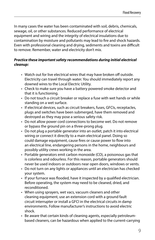In many cases the water has been contaminated with soil, debris, chemicals, sewage, oil, or other substances. Reduced performance of electrical equipment and wiring and the integrity of electrical insulations due to contamination by moisture and pollutants may lead to fire and shock hazards. Even with professional cleaning and drying, sediments and toxins are difficult to remove. Remember, water and electricity don't mix.

# *Practice these important safety recommendations during initial electrical cleanup:*

- Watch out for live electrical wires that may have broken off outside. Electricity can travel through water. You should immediately report any downed wires to the Local Electric Utility.
- Check to make sure you have a battery powered smoke detector and that it is functioning.
- Do not touch a circuit breaker or replace a fuse with wet hands or while standing on a wet surface.
- If electrical devices, such as circuit breakers, fuses, GFCIs, receptacles, plugs and switches have been submerged, have them removed and destroyed as they may pose a serious safety risk.
- Do not allow power cord connections to become wet. Do not remove or bypass the ground pin on a three-prong plug.
- Do not plug a portable generator into an outlet, patch it into electrical wiring or connect it directly to a main electrical panel. Doing so could damage equipment, cause fires or cause power to flow into an electrical line, endangering persons in the home, neighbours and possibly utility crews working in the area.
- Portable generators emit carbon monoxide (CO), a poisonous gas that is colorless and odourless. For this reason, portable generators should never be used indoors or outdoors near open doors, windows or vents.
- Do not turn on any lights or appliances until an electrician has checked your system.
- If your furnace was flooded, have it inspected by a qualified electrician. Before operating, the system may need to be cleaned, dried, and reconditioned.
- When using sprayers, wet vacs, vacuum cleaners and other cleaning equipment, use an extension cord with a ground fault circuit interrupter or install a GFCI in the electrical circuits in damp environments. Follow manufacturer's instructions to avoid electric shock.
- Be aware that certain kinds of cleaning agents, especially petroleumbased cleaners, can be hazardous when applied to the current-carrying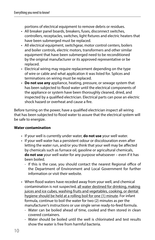<span id="page-13-0"></span>portions of electrical equipment to remove debris or residues.

- All breaker panel boards, breakers, fuses, disconnect switches, controllers, receptacles, switches, light fixtures and electric heaters that have been submerged must be replaced.
- All electrical equipment, switchgear, motor control centers, boilers and boiler controls, electric motors, transformers and other similar equipment that have been submerged need to be reconditioned by the original manufacturer or its approved representative or be replaced.
- Electrical wiring may require replacement depending on the type of wire or cable and what application it was listed for. Splices and terminations on wiring must be replaced.
- **Do not use any** appliance, heating, pressure, or sewage system that has been subjected to flood water until the electrical components of the appliance or system have been thoroughly cleaned, dried, and inspected by a qualified electrician. Electrical parts can pose an electric shock hazard or overheat and cause a fire.

Before turning on the power, have a qualified electrician inspect all wiring that has been subjected to flood water to assure that the electrical system will be safe to energize.

# **Water contamination**

- If your well is currently under water, **do not use** your well water.
- If your well water has a persistent odour or discolouration even after letting the water run, and/or you think that your well may be affected by chemicals such as furnace oil, gasoline or agricultural chemicals, **do not use** your well water for any purpose whatsoever – even if it has been boiled.
	- If this is the case, you should contact the nearest Regional office of the Department of Environment and Local Government for further information or visit their website.
- When flood waters have receded away from your well, and chemical contamination is not suspected, all water destined for drinking, making juices and ice cubes, washing fruits and vegetables, cooking, or dental hygiene should be held at a rolling boil for one (1) minute. For infant formula, continue to boil the water for two (2) minutes as per the manufacturer's instructions or use single serve ready-to-feed formula.
	- Water can be boiled ahead of time, cooled and then stored in clean covered containers.
	- Water should be boiled until the well is chlorinated and test results show the water is free from harmful bacteria.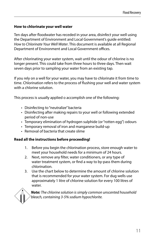#### <span id="page-14-0"></span>**How to chlorinate your well water**

Ten days after floodwater has receded in your area, disinfect your well using the Department of Environment and Local Government's guide entitled: *How to Chlorinate Your Well Water*. This document is available at all Regional Department of Environment and Local Government offices.

After chlorinating your water system, wait until the odour of chlorine is no longer present. This could take from three hours to three days. Then wait seven days prior to sampling your water from an existing tap.

If you rely on a well for your water, you may have to chlorinate it from time to time. Chlorination refers to the process of flushing your well and water system with a chlorine solution.

This process is usually applied o accomplish one of the following:

- Disinfecting to "neutralize" bacteria
- Disinfecting after making repairs to your well or following extended period of non-use
- Temporary elimination of hydrogen sulphide (or "rotten egg") odours
- Temporary removal of iron and manganese build-up
- Removal of bacteria that create slime

#### **Read all the instructions before proceeding!**

- 1. Before you begin the chlorination process, store enough water to meet your household needs for a minimum of 24 hours.
- 2. Next, remove any filter, water conditioners, or any type of water treatment system, or find a way to by-pass them during chlorination.
- 3. Use the chart below to determine the amount of chlorine solution that is recommended for your water system. For dug wells use approximately 1 litre of chlorine solution for every 100 litres of water.

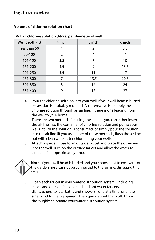<span id="page-15-0"></span>

| Well depth (ft) | 4 inch | 5 inch | 6 inch |  |
|-----------------|--------|--------|--------|--|
| less than 50    |        | 2      | 3.5    |  |
| 50-100          | 2      | 4      | 7      |  |
| 101-150         | 3.5    | 7      | 10     |  |
| 151-200         | 4.5    | 9      | 13.5   |  |
| 201-250         | 5.5    | 11     | 17     |  |
| 251-300         | 7      | 13.5   | 20.5   |  |
| 301-350         | 8      | 16     | 24     |  |
| 351-400         | 9      | 18     | 27     |  |

#### **Vol. of chlorine solution (litres) per diameter of well**

4. Pour the chlorine solution into your well. If your well head is buried, excavation is probably required. An alternative is to apply the chlorine solution through an air line, if there is one leading from the well to your home.

There are two methods for using the air line: you can either insert the air line into the container of chlorine solution and pump your well until all the solution is consumed, or simply pour the solution into the air line (If you use either of these methods, flush the air line out with clean water after chlorinating your well).

5. Attach a garden hose to an outside faucet and place the other end into the well. Turn on the outside faucet and allow the water to circulate for approximately 1 hour.



6. Open each faucet in your water distribution system, (including inside and outside faucets, cold and hot water faucets, dishwashers, toilets, baths and showers), one at a time, until the smell of chlorine is apparent, then quickly shut them off. This will thoroughly chlorinate your water distribution system.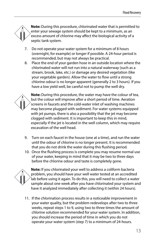**Note:** During this procedure, chlorinated water that is permitted to enter your sewage system should be kept to a minimum, as an excess amount of chlorine may affect the biological activity of a septic tank system.

- 7. Do not operate your water system for a minimum of 8 hours (overnight, for example) or longer if possible. A 24-hour period is recommended, but may not always be practical.
- 8. Place the end of your garden hose in an outside location where the chlorinated water will not run into a natural waterway (such as a stream, brook, lake, etc.) or damage any desired vegetation (like your vegetable garden). Allow the water to flow until a strong chlorine odour is no longer apparent (generally 2 to 3 hours). If you have a low yield well, be careful not to pump the well dry.



**Note:** During this procedure, the water may have the colour of tea, but the colour will improve after a short period of time. Aeration screens in faucets and the cold-water inlet of washing machines may become plugged with sediment. For water systems equipped with jet pumps, there is also a possibility that the jet may become clogged with sediment. It is important to keep this in mind, especially if the jet is located in the well column, which may require excavation of the well head.

- 9. Turn on each faucet in the house (one at a time), and run the water until the odour of chlorine is no longer present. It is recommended that you do not drink the water during this flushing period.
- 10. Once the flushing process is complete you may resume normal use of your water, keeping in mind that it may be two to three days before the chlorine odour and taste is completely gone.



**Note:** If you chlorinated your well to address a coliform bacteria problem, you should have your well water tested at an accredited lab before using it again. To do this, you will need to collect a water sample about one week after you have chlorinated your system and have it analyzed immediately after collecting it (within 24 hours).

11. If the chlorination process results in a noticeable improvement in your water quality, but the problem redevelops after two to three weeks, repeat steps 1 to 9, using two to three times the amount of chlorine solution recommended for your water system. In addition, you should increase the period of time in which you do not operate your water system (step 7) to a minimum of 24-hours.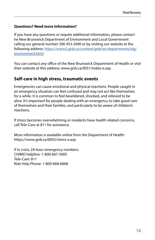## <span id="page-17-0"></span>**Questions? Need more Information?**

If you have any questions or require additional information, please contact he New Brunswick Department of Environment and Local Government calling our general number 506 453-2690 or by visiting our website at the following address: [https://www2.gnb.ca/content/gnb/en/departments/elg/](https://www2.gnb.ca/content/gnb/en/departments/elg/environment.html) [environment.html](https://www2.gnb.ca/content/gnb/en/departments/elg/environment.html)

You can contact any office of the New Brunswick Department of Health or visit their website at this address: [www.gnb.ca/0051/index-e.asp](http://www.gnb.ca/0051/index-e.asp)

# **Self-care in high stress, traumatic events**

Emergencies can cause emotional and physical reactions. People caught in an emergency situation can feel confused and may not act like themselves for a while. It is common to feel bewildered, shocked, and relieved to be alive. It's important for people dealing with an emergency to take good care of themselves and their families, and particularly to be aware of children's reactions.

If stress becomes overwhelming or residents have health related concerns, call Tele-Care at 811 for assistance.

More information is available online from the Department of Health: <https://www.gnb.ca/0055/stress-e.asp>

If in crisis; 24-hour emergency numbers: CHIMO helpline: 1-800-667-5005 Tele-Care: 811 Kids Help Phone: 1-800-668-6868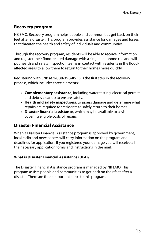# <span id="page-18-0"></span>**Recovery program**

NB EMO, Recovery program helps people and communities get back on their feet after a disaster. This program provides assistance for damages and losses that threaten the health and safety of individuals and communities.

Through the recovery program, residents will be able to receive information and register their flood-related damage with a single telephone call and will put health and safety inspection teams in contact with residents in the floodaffected areas to allow them to return to their homes more quickly.

Registering with SNB at **1-888-298-8555** is the first step in the recovery process, which includes three elements:

- **• Complementary assistance**, including water testing, electrical permits and debris cleanup to ensure safety.
- **• Health and safety inspections**, to assess damage and determine what repairs are required for residents to safely return to their homes.
- **• Disaster financial assistance**, which may be available to assist in covering eligible costs of repairs.

# **Disaster Financial Assistance**

When a Disaster Financial Assistance program is approved by government, local radio and newspapers will carry information on the program and deadlines for application. If you registered your damage you will receive all the necessary application forms and instructions in the mail.

# **What is Disaster Financial Assistance (DFA)?**

The Disaster Financial Assistance program is managed by NB EMO. This program assists people and communities to get back on their feet after a disaster. There are three important steps to this program.